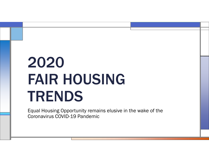## 2020 FAIR HOUSING TRENDS

Equal Housing Opportunity remains elusive in the wake of the Coronavirus COVID-19 Pandemic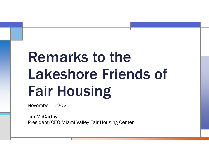## Remarks to the Lakeshore Friends of Fair Housing

November 5, 2020

Jim McCarthy President/CEO Miami Valley Fair Housing Center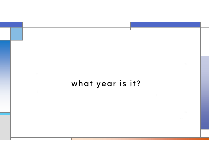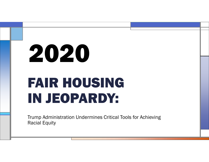# FAIR HOUSINGIN JEOPARDY: 2020

Trump Administration Undermines Critical Tools for Achieving Racial Equity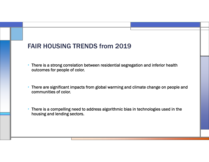- • There is a strong correlation between residential segregation and inferior health outcomes for people of color.
- • There are significant impacts from global warming and climate change on people and communities of color.
- • There is a compelling need to address algorithmic bias in technologies used in the housing and lending sectors.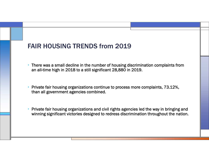- • There was a small decline in the number of housing discrimination complaints from an all-time high in 2018 to a still significant 28,880 in 2019.
- • Private fair housing organizations continue to process more complaints, 73.12%, than all government agencies combined.
- • Private fair housing organizations and civil rights agencies led the way in bringing and winning significant victories designed to redress discrimination throughout the nation.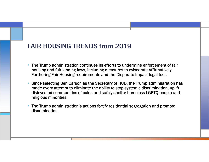- • The Trump administration continues its efforts to undermine enforcement of fair housing and fair lending laws, including measures to eviscerate Affirmatively Furthering Fair Housing requirements and the Disparate Impact legal tool.
- • Since selecting Ben Carson as the Secretary of HUD, the Trump administration has made every attempt to eliminate the ability to stop systemic discrimination, uplift disinvested communities of color, and safely shelter homeless LGBTQ people and religious minorities.
- • The Trump administration's actions fortify residential segregation and promote discrimination.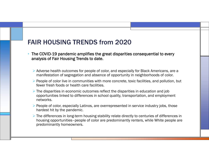- • The COVID-19 pandemic amplifies the great disparities consequential to every analysis of Fair Housing Trends to date.
	- Adverse health outcomes for people of color, and especially for Black Americans, are a manifestation of segregation and absence of opportunity in neighborhoods of color.
	- $\triangleright$  People of color live in communities with more concrete, toxic facilities, and pollution, but fewer fresh foods or health care facilities.
	- The disparities in economic outcomes reflect the disparities in education and job opportunities linked to differences in school quality, transportation, and employment networks.
	- $\triangleright$  People of color, especially Latinos, are overrepresented in service industry jobs, those hardest hit by the pandemic.
	- The differences in long-term housing stability relate directly to centuries of differences in housing opportunities–people of color are predominantly renters, while White people are predominantly homeowners.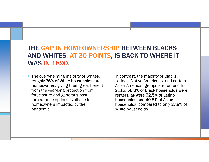## THE GAP IN HOMEOWNERSHIP BETWEEN BLACKS AND WHITES, AT 30 POINTS, IS BACK TO WHERE IT WAS IN 1890.

- • The overwhelming majority of Whites, roughly 76% of White households, are homeowners, giving them great benefit from the year-long protection from foreclosure and generous postforbearance options available to homeowners impacted by the pandemic.
- In contrast, the majority of Blacks, Latinos, Native Americans, and certain Asian-American groups are renters. In 2018, 58.3% of Black households were renters, as were 52.5% of Latino households and 40.5% of Asian households, compared to only 27.8% of White households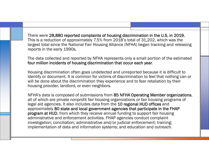There were 28,880 reported complaints of housing discrimination in the U.S. in 2019. This is a reduction of approximately 7.5% from 2018's total of 31,202, which was the largest total since the National Fair Housing Alliance (NFHA) began tracking and releasing reports in the early 1990s.

The data collected and reported by NFHA represents only a small portion of the estimated four million incidents of housing discrimination that occur each year.

Housing discrimination often goes undetected and unreported because it is difficult to identify or document. It is common for victims of discrimination to feel that nothing can or will be done about the discrimination they experience and to fear retaliation by their housing provider, landlord, or even neighbors.

NFHA's data is composed of submissions from 85 NFHA Operating Member organizations, all of which are private nonprofit fair housing organizations or fair housing programs of legal aid agencies. It also includes data from the 10 regional HUD offices and approximately 80 state and local government agencies that participate in the FHAP program at HUD, from which they receive annual funding to support fair housing administrative and enforcement activities. FHAP agencies conduct complaint investigation; conciliation; administrative and/or judicial enforcement; training; implementation of data and information systems; and education and outreach.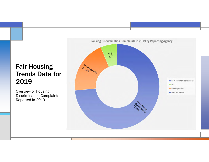## Fair Housing Trends Data for 2019

Overview of Housing Discrimination Complaints Reported in 2019

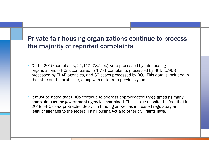## Private fair housing organizations continue to process the majority of reported complaints

- Of the 2019 complaints, 21,117 (73.12%) were processed by fair housing organizations (FHOs), compared to 1,771 complaints processed by HUD, 5,953 processed by FHAP agencies, and 39 cases processed by DOJ. This data is included in the table on the next slide, along with data from previous years.
- • It must be noted that FHOs continue to address approximately three times as many complaints as the government agencies combined. This is true despite the fact that in 2019, FHOs saw protracted delays in funding as well as increased regulatory and legal challenges to the federal Fair Housing Act and other civil rights laws.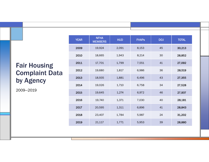|                       | <b>YEAR</b> | <b>NFHA</b><br><b>MEMBERS</b> | <b>HUD</b> | <b>FHAPS</b> | <b>DOJ</b> | <b>TOTAL</b> |
|-----------------------|-------------|-------------------------------|------------|--------------|------------|--------------|
| sing<br>nt Data<br>:y | 2009        | 19,924                        | 2,091      | 8,153        | 45         | 30,213       |
|                       | 2010        | 18,665                        | 1,943      | 8,214        | 30         | 28,852       |
|                       | 2011        | 17,701                        | 1,799      | 7,551        | 41         | 27,092       |
|                       | 2012        | 19,680                        | 1,817      | 6,986        | 36         | 28,519       |
|                       | 2013        | 18,935                        | 1,881      | 6,496        | 43         | 27,355       |
|                       | 2014        | 19,026                        | 1,710      | 6,758        | 34         | 27,528       |
|                       | 2015        | 19,645                        | 1,274      | 6,972        | 46         | 27,937       |
|                       | 2016        | 19,740                        | 1,371      | 7,030        | 40         | 28,181       |
|                       | 2017        | 20,595                        | 1,311      | 6,896        | 41         | 28,843       |
|                       | 2018        | 23,407                        | 1,784      | 5,987        | 24         | 31,202       |
|                       | 2019        | 21,117                        | 1,771      | 5,953        | 39         | 28,880       |

## **Fair Hous** Complair by Agenc

2009—2019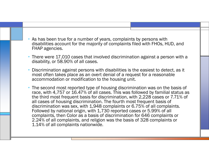- • As has been true for a number of years, complaints by persons with disabilities account for the majority of complaints filed with FHOs, HUD, and FHAP agencies.
- • There were 17,010 cases that involved discrimination against a person with a disability, or 58.90% of all cases.
- • Discrimination against persons with disabilities is the easiest to detect, as it most often takes place as an overt denial of a request for a reasonable accommodation or modification to the housing unit.
- • The second most reported type of housing discrimination was on the basis of race, with 4,757 or 16.47% of all cases. This was followed by familial status as the third most frequent basis for discrimination, with 2,228 cases or 7.71% of all cases of housing discrimination. The fourth most frequent basis of discrimination was sex, with 1,948 complaints or 6.75% of all complaints. Followed by national origin, with 1,730 reported cases or 5.99% of all complaints, then Color as a basis of discrimination for 646 complaints or 2.24% of all complaints, and religion was the basis of 328 complaints or 1.14% of all complaints nationwide.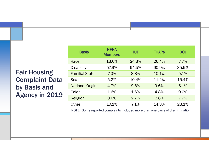## Fair Housing Complaint Data by Basis and Agency in 2019

| <b>Basis</b>           | <b>NFHA</b><br><b>Members</b> | <b>HUD</b>     | <b>FHAPS</b> | <b>DOJ</b> |  |
|------------------------|-------------------------------|----------------|--------------|------------|--|
| Race                   | 13.0%                         | 24.3%          | 26.4%        | 7.7%       |  |
| <b>Disability</b>      | 57.9%                         | 64.5%<br>60.9% |              | 35.9%      |  |
| <b>Familial Status</b> | 7.0%                          | 8.8%           | 10.1%        | 5.1%       |  |
| <b>Sex</b>             | 5.2%                          | 10.4%          | 11.2%        | 15.4%      |  |
| <b>National Origin</b> | 4.7%                          | 9.8%           | 9.6%         | 5.1%       |  |
| Color                  | 1.6%                          | 1.6%           | 4.8%         | 0.0%       |  |
| Religion               | 0.6%                          | 2.7%           | 2.6%         | 7.7%       |  |
| <b>Other</b>           | 10.1%                         | 7.1%           | 14.3%        | 23.1%      |  |

NOTE: Some reported complaints included more than one basis of discrimination.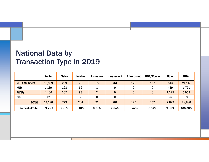## National Data by Transaction Type in 2019

|                         | Rental | <b>Sales</b> | <b>Lending</b> | <b>Insurance</b> | <b>Harassment</b> | <b>Advertising</b> | HOA/Condo | <b>Other</b> | <b>TOTAL</b> |
|-------------------------|--------|--------------|----------------|------------------|-------------------|--------------------|-----------|--------------|--------------|
| <b>NFHA Members</b>     | 18,889 | 289          | 70             | 18               | 761               | 120                | 157       | 813          | 21,117       |
| <b>HUD</b>              | 1,119  | 123          | 69             |                  | 0                 |                    | 0         | 459          | 1,771        |
| <b>FHAPs</b>            | 4,166  | 367          | 93             | $\overline{2}$   | 0                 | $\bf{0}$           | $\bf{0}$  | 1,325        | 5,953        |
| <b>DOJ</b>              | 12     | 0            | 2              | 0                | 0                 |                    | $\bf{0}$  | 25           | 39           |
| <b>TOTAL</b>            | 24,186 | 779          | 234            | 21               | 761               | 120                | 157       | 2,622        | 28,880       |
| <b>Percent of Total</b> | 83.75% | 2.70%        | 0.81%          | 0.07%            | 2.64%             | 0.42%              | 0.54%     | 9.08%        | 100.00%      |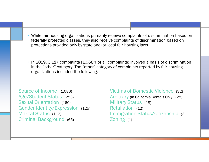- • While fair housing organizations primarily receive complaints of discrimination based on federally protected classes, they also receive complaints of discrimination based on protections provided only by state and/or local fair housing laws.
- In 2019, 3,117 complaints (10.68% of all complaints) involved a basis of discrimination in the "other" category. The "other" category of complaints reported by fair housing organizations included the following:

Source of Income (1,086) Age/Student Status (253) Sexual Orientation (160) Gender Identity/Expression (125) Marital Status (112) Criminal Background (65)

#### Victims of Domestic Violence (32)

Arbitrary (in California Rentals Only) (28) Military Status (18) Retaliation (12) Immigration Status/Citizenship (3) Zoning (1)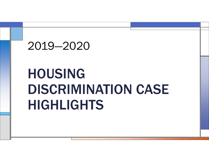## 2019—2020

## HOUSING DISCRIMINATION CASE HIGHLIGHTS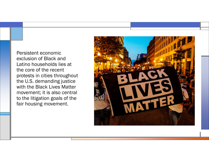Persistent economic exclusion of Black and Latino households lies at the core of the recent protests in cities throughout the U.S. demanding justice with the Black Lives Matter movement; it is also central to the litigation goals of the fair housing movement.

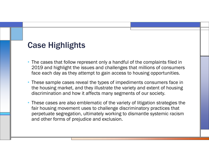## Case Highlights

- The cases that follow represent only a handful of the complaints filed in 2019 and highlight the issues and challenges that millions of consumers face each day as they attempt to gain access to housing opportunities.
- • These sample cases reveal the types of impediments consumers face in the housing market, and they illustrate the variety and extent of housing discrimination and how it affects many segments of our society.
- • These cases are also emblematic of the variety of litigation strategies the fair housing movement uses to challenge discriminatory practices that perpetuate segregation, ultimately working to dismantle systemic racism and other forms of prejudice and exclusion.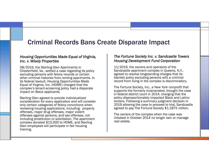## Criminal Records Bans Create Disparate Impact

#### *Housing Opportunities Made Equal of Virginia, Inc. v. Wisely Properties*

08/2019, the Sterling Glen Apartments in Chesterfield, Va., settled a case regarding its policy excluding persons with felony records or certain other criminal histories from renting apartments. In its federal lawsuit, Housing Opportunities Made Equal of Virginia, Inc. (HOME) charged that the complex's tenant-screening policy had a disparate impact on Black applicants.

Sterling Glen agreed to provide individualized consideration for every application and will consider only certain categories of felony convictions when reviewing housing applications, including: property offenses, major drug offenses, major violent offenses against persons, and sex offenses, not including prostitution or solicitation. The apartment complex donated \$15,000 to HOME, and Sterling Glen employees will participate in fair housing training.

#### *The Fortune Society Inc. v. Sandcastle Towers Housing Development Fund Corporation*

11/2019, the owners and operators of the Sandcastle apartment complex in Queens, N.Y., agreed to resolve longstanding charges that its blanket policy excluding persons with a criminal record from living in the complex is discriminatory.

The Fortune Society, Inc., a New York nonprofit that supports the formerly incarcerated, brought the case in federal district court in 2014, charging that the policy disproportionately impacted Black and Latino renters. Following a summary judgment decision in 2019 allowing the case to proceed to trial, Sandcastle agreed to pay The Fortune Society \$1.1875 million.

The owners of the complex when the case was initiated in October 2014 no longer own or manage real estate.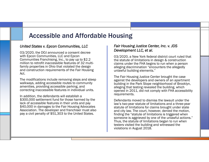## Accessible and Affordable Housing

#### *United States v. Epcon Communities, LLC*

03/2020, the DOJ announced a consent decree with Epcon Communities, LLC and Epcon Communities Franchising, Inc., to pay up to \$2.2 million to retrofit inaccessible features of 32 multifamily properties in Ohio that violated the design and construction requirements of the Fair Housing Act.

The modifications include removing steps and steep walkways, adding accessible routes to community amenities, providing accessible parking, and correcting inaccessible features in individual units.

In addition, the defendants will establish a \$300,000 settlement fund for those harmed by the lack of accessible features in their units and pay \$40,000 in damages to the Fair Housing Advocates Association. The developer and franchiser must also pay a civil penalty of \$51,303 to the United States.

#### *Fair Housing Justice Center, Inc. v. JDS Development LLC, et al.*

03/2020, a New York federal district court ruled that the statute of limitations in design & construction claims under the FHA begins to run when a person alleging discrimination "encounters the allegedly unlawful building elements."

The Fair Housing Justice Center brought the case against the developers and owners of an apartment building in the Park Slope neighborhood of Brooklyn, alleging that testing revealed the building, which opened in 2011, did not comply with FHA accessibility requirements.

Defendants moved to dismiss the lawsuit under the law's two-year statute of limitations and a three-year statute of limitations for claims brought under state and city law. The court, however, denied the motion, finding the "statute of limitations is triggered when someone is aggrieved by one of the unlawful actions." Thus, the statute of limitations began to run when testers visited the building and witnessed the violations in August 2018.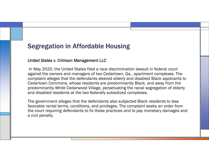## Segregation in Affordable Housing

#### *United States v. Crimson Management LLC*

In May 2020, the United States filed a race discrimination lawsuit in federal court against the owners and managers of two Cedartown, Ga., apartment complexes. The complaint alleges that the defendants steered elderly and disabled Black applicants to Cedartown Commons, whose residents are predominantly Black, and away from the predominantly White Cedarwood Village, perpetuating the racial segregation of elderly and disabled residents at the two federally subsidized complexes.

The government alleges that the defendants also subjected Black residents to less favorable rental terms, conditions, and privileges. The complaint seeks an order from the court requiring defendants to fix these practices and to pay monetary damages and a civil penalty.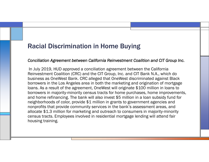### Racial Discrimination in Home Buying

#### *Conciliation Agreement between California Reinvestment Coalition and CIT Group Inc.*

In July 2019, HUD approved a conciliation agreement between the California Reinvestment Coalition (CRC) and the CIT Group, Inc. and CIT Bank N.A., which do business as OneWest Bank. CRC alleged that OneWest discriminated against Black borrowers in the Los Angeles area in both the marketing and origination of mortgage loans. As a result of the agreement, OneWest will originate \$100 million in loans to borrowers in majority-minority census tracts for home purchases, home improvements, and home refinancing. The bank will also invest \$5 million in a loan subsidy fund for neighborhoods of color, provide \$1 million in grants to government agencies and nonprofits that provide community services in the bank's assessment areas, and allocate \$1.3 million for marketing and outreach to consumers in majority-minority census tracts. Employees involved in residential mortgage lending will attend fair housing training.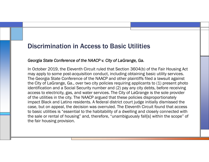### Discrimination in Access to Basic Utilities

#### *Georgia State Conference of the NAACP v. City of LaGrange, Ga.*

In October 2019, the Eleventh Circuit ruled that Section 3604(b) of the Fair Housing Act may apply to some post-acquisition conduct, including obtaining basic utility services. The Georgia State Conference of the NAACP and other plaintiffs filed a lawsuit against the City of LaGrange, Ga., over two city policies requiring applicants to (1) present photo identification and a Social Security number and (2) pay any city debts, before receiving access to electricity, gas, and water services. The City of LaGrange is the sole provider of the utilities in the city. The NAACP argued that these policies disproportionately impact Black and Latino residents. A federal district court judge initially dismissed the case, but on appeal, the decision was overruled. The Eleventh Circuit found that access to basic utilities is "essential to the habitability of a dwelling and closely connected with the sale or rental of housing" and, therefore, "unambiguously fall[s] within the scope" of the fair housing provision.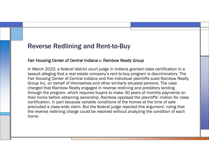### Reverse Redlining and Rent-to-Buy

#### *Fair Housing Center of Central Indiana v. Rainbow Realty Group*

In March 2020, a federal district court judge in Indiana granted class certification in a lawsuit alleging that a real estate company's rent-to-buy program is discriminatory. The Fair Housing Center of Central Indiana and five individual plaintiffs sued Rainbow Realty Group Inc. on behalf of themselves and other similarly situated persons. The case charged that Rainbow Realty engaged in reverse redlining and predatory lending through the program, which requires buyers to make 30 years of monthly payments on their home before obtaining ownership. Rainbow opposed the plaintiffs' motion for class certification, in part because variable conditions of the homes at the time of sale precluded a class-wide claim. But the federal judge rejected this argument, ruling that the reverse redlining charge could be resolved without analyzing the condition of each home.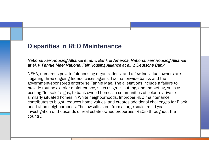## Disparities in REO Maintenance

#### *National Fair Housing Alliance et al. v. Bank of America; National Fair Housing Alliance at al. v. Fannie Mae; National Fair Housing Alliance at al. v. Deutsche Bank*

NFHA, numerous private fair housing organizations, and a few individual owners are litigating three ongoing federal cases against two nationwide banks and the government-sponsored enterprise Fannie Mae. The allegations include a failure to provide routine exterior maintenance, such as grass cutting, and marketing, such as posting "for sale" signs, to bank-owned homes in communities of color relative to similarly situated homes in White neighborhoods. Improper REO maintenance contributes to blight, reduces home values, and creates additional challenges for Black and Latino neighborhoods. The lawsuits stem from a large-scale, multi-year investigation of thousands of real estate-owned properties (REOs) throughout the country.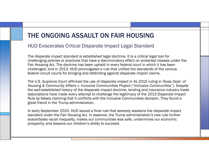## THE ONGOING ASSAULT ON FAIR HOUSING

#### HUD Eviscerates Critical Disparate Impact Legal Standard

The disparate impact standard is established legal doctrine. It is a critical legal tool for challenging policies or practices that have a discriminatory effect on protected classes under the Fair Housing Act. The doctrine has been upheld in every federal court in which it has been challenged, and in 2013, HUD promulgated a rule that unified the standards of the various federal circuit courts for bringing and defending against disparate impact claims.

The U.S. Supreme Court affirmed the use of disparate impact in its 2015 ruling in *Texas Dept. of Housing & Community Affairs v. Inclusive Communities Project ("Inclusive Communities").* Despite the well-established history of the disparate impact doctrine, lending and insurance industry trade associations have made every attempt to challenge the legitimacy of the 2013 Disparate Impact Rule by falsely claiming that it conflicts with the Inclusive Communities decision. They found a great friend in the Trump administration.

In early September 2020, HUD issued a final rule that severely weakens the disparate impact standard under the Fair Housing Act. In essence, the Trump administration's new rule further exacerbates racial inequality, makes our communities less safe, undermines our economic prosperity, and lessens our children's ability to succeed.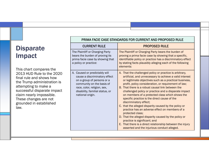## **Disparate** Impact

This chart compares the 2013 HUD Rule to the 2020 final rule and shows how the Trump administration is attempting to make a successful disparate impact claim nearly impossible. These changes are not grounded in established law.

| FRIIVIA FAUIE UASE STANDARDS FUR UURRENT AND FRUFUSED RULE                                                                                                                                                      |                                                                                                                                                                                                                                                                                                                                                                                                                                                                                                                                                                                                                                                                                                                                                                                                                    |  |  |  |  |
|-----------------------------------------------------------------------------------------------------------------------------------------------------------------------------------------------------------------|--------------------------------------------------------------------------------------------------------------------------------------------------------------------------------------------------------------------------------------------------------------------------------------------------------------------------------------------------------------------------------------------------------------------------------------------------------------------------------------------------------------------------------------------------------------------------------------------------------------------------------------------------------------------------------------------------------------------------------------------------------------------------------------------------------------------|--|--|--|--|
| <b>CURRENT RULE</b>                                                                                                                                                                                             | <b>PROPOSED RULE</b>                                                                                                                                                                                                                                                                                                                                                                                                                                                                                                                                                                                                                                                                                                                                                                                               |  |  |  |  |
| The Plaintiff or Charging Party<br>bears the burden of proving its<br>prima facie case by showing that<br>a policy or practice:                                                                                 | The Plaintiff or Charging Party bears the burden of<br>proving a prima facie case by showing that a specific,<br>identifiable policy or practice has a discriminatory effect<br>by stating facts plausibly alleging each of the following<br>elements:                                                                                                                                                                                                                                                                                                                                                                                                                                                                                                                                                             |  |  |  |  |
| A. Caused or predictably will<br>cause a discriminatory effect<br>on a group of persons or a<br>community on the basis of<br>race, color, religion, sex,<br>disability, familial status, or<br>national origin. | A. That the challenged policy or practice is arbitrary,<br>artificial, and unnecessary to achieve a valid interest<br>or legitimate objectives such as a practical business,<br>profit, policy consideration, or requirement of law;<br>B. That there is a robust causal link between the<br>challenged policy or practice and a disparate impact<br>on members of a protected class which shows the<br>specific practice is the direct cause of the<br>discriminatory effect;<br>C. that the alleged disparity caused by the policy or<br>practice has an adverse effect on members of a<br>protected class;<br>D. That the alleged disparity caused by the policy or<br>practice is significant; and<br>E. That there is a direct relationship between the injury<br>asserted and the injurious conduct alleged. |  |  |  |  |

#### PRIMA FACIE CASE STANDARDS FOR CURRENT AND PROPOSED RULE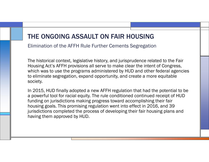## THE ONGOING ASSAULT ON FAIR HOUSING

Elimination of the AFFH Rule Further Cements Segregation

The historical context, legislative history, and jurisprudence related to the Fair Housing Act's AFFH provisions all serve to make clear the intent of Congress, which was to use the programs administered by HUD and other federal agencies to eliminate segregation, expand opportunity, and create a more equitable society.

In 2015, HUD finally adopted a new AFFH regulation that had the potential to be a powerful tool for racial equity. The rule conditioned continued receipt of HUD funding on jurisdictions making progress toward accomplishing their fair housing goals. This promising regulation went into effect in 2016, and 39 jurisdictions completed the process of developing their fair housing plans and having them approved by HUD.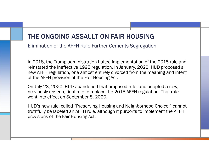## THE ONGOING ASSAULT ON FAIR HOUSING

Elimination of the AFFH Rule Further Cements Segregation

In 2018, the Trump administration halted implementation of the 2015 rule and reinstated the ineffective 1995 regulation. In January, 2020, HUD proposed a new AFFH regulation, one almost entirely divorced from the meaning and intent of the AFFH provision of the Fair Housing Act.

On July 23, 2020, HUD abandoned that proposed rule, and adopted a new, previously unseen, final rule to replace the 2015 AFFH regulation. That rule went into effect on September 8, 2020.

HUD's new rule, called "Preserving Housing and Neighborhood Choice," cannot truthfully be labeled an AFFH rule, although it purports to implement the AFFH provisions of the Fair Housing Act.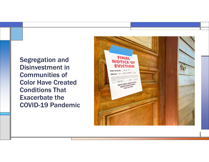Segregation and Disinvestment in Communities of Color Have Created Conditions That Exacerbate the COVID-19 Pandemic

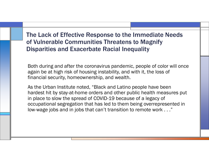## The Lack of Effective Response to the Immediate Needs of Vulnerable Communities Threatens to Magnify Disparities and Exacerbate Racial Inequality

Both during and after the coronavirus pandemic, people of color will once again be at high risk of housing instability, and with it, the loss of financial security, homeownership, and wealth.

As the Urban Institute noted, "Black and Latino people have been hardest hit by stay-at-home orders and other public health measures put in place to slow the spread of COVID-19 because of a legacy of occupational segregation that has led to them being overrepresented in low-wage jobs and in jobs that can't transition to remote work . . ."